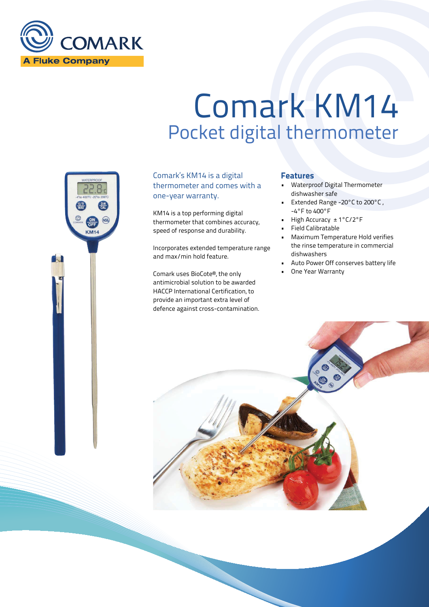

KM<sub>14</sub>

# Comark KM14 Pocket digital thermometer

Comark's KM14 is a digital thermometer and comes with a one-year warranty.

KM14 is a top performing digital thermometer that combines accuracy, speed of response and durability.

Incorporates extended temperature range and max/min hold feature.

Comark uses BioCote®, the only antimicrobial solution to be awarded HACCP International Certification, to provide an important extra level of defence against cross-contamination.

### Features

- Waterproof Digital Thermometer dishwasher safe
- Extended Range -20°C to 200°C , -4°F to 400°F
- High Accuracy ± 1°C/2°F
- Field Calibratable
- Maximum Temperature Hold verifies the rinse temperature in commercial dishwashers
- Auto Power Off conserves battery life
- One Year Warranty